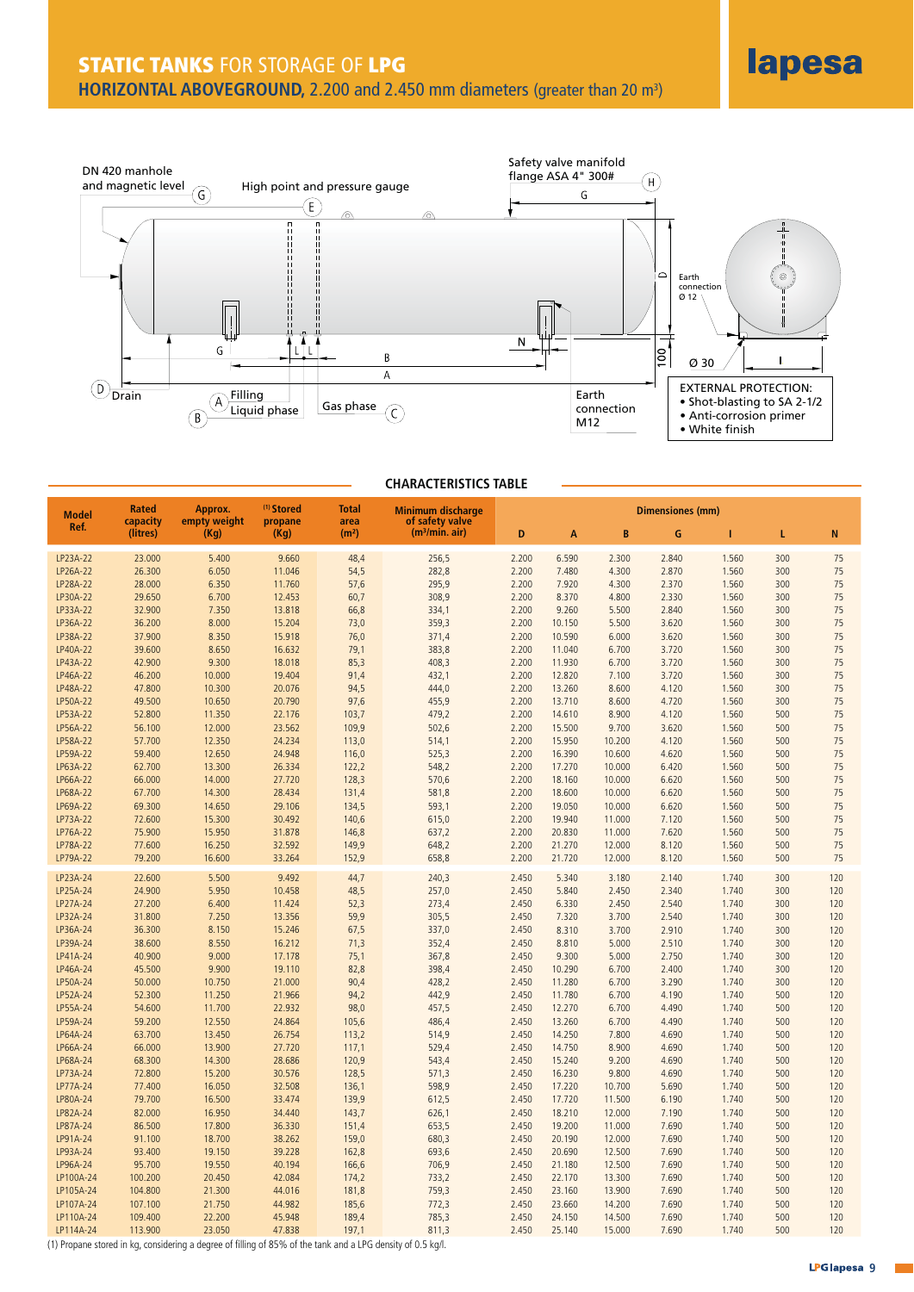

## **CHARACTERISTICS TABLE**

| Ref.<br>(m <sup>3</sup> /min. air)<br>(litres)<br>(Kq)<br>(Kq)<br>(m <sup>2</sup> )<br>B<br>D<br>G<br>N<br>A<br>T<br>L<br>LP23A-22<br>23.000<br>5.400<br>9.660<br>48,4<br>256,5<br>2.200<br>6.590<br>2.300<br>2.840<br>1.560<br>300<br>75<br>282,8<br>75<br>LP26A-22<br>26.300<br>6.050<br>11.046<br>54,5<br>2.200<br>7.480<br>4.300<br>2.870<br>1.560<br>300<br>LP28A-22<br>28.000<br>6.350<br>11.760<br>57,6<br>295,9<br>2.200<br>7.920<br>4.300<br>2.370<br>1.560<br>300<br>75<br>LP30A-22<br>29.650<br>75<br>6.700<br>12.453<br>60,7<br>308,9<br>2.200<br>8.370<br>4.800<br>2.330<br>1.560<br>300<br>75<br>LP33A-22<br>32.900<br>7.350<br>13.818<br>66,8<br>334,1<br>2.200<br>9.260<br>5.500<br>2.840<br>1.560<br>300<br>LP36A-22<br>36.200<br>8.000<br>15.204<br>73,0<br>359,3<br>2.200<br>10.150<br>5.500<br>3.620<br>1.560<br>300<br>75<br>75<br>LP38A-22<br>37.900<br>8.350<br>15.918<br>76,0<br>371,4<br>2.200<br>10.590<br>6.000<br>3.620<br>1.560<br>300<br>75<br>LP40A-22<br>39.600<br>8.650<br>16.632<br>79,1<br>383,8<br>2.200<br>3.720<br>1.560<br>300<br>11.040<br>6.700<br>LP43A-22<br>75<br>42.900<br>9.300<br>18.018<br>85,3<br>408,3<br>2.200<br>11.930<br>6.700<br>3.720<br>1.560<br>300<br>LP46A-22<br>75<br>46.200<br>10.000<br>19.404<br>91,4<br>432,1<br>2.200<br>12.820<br>7.100<br>3.720<br>1.560<br>300<br>LP48A-22<br>47.800<br>10.300<br>20.076<br>94,5<br>444,0<br>2.200<br>13.260<br>8.600<br>4.120<br>1.560<br>300<br>75<br>75<br>LP50A-22<br>49.500<br>10.650<br>20.790<br>455,9<br>2.200<br>8.600<br>4.720<br>1.560<br>300<br>97,6<br>13.710<br>LP53A-22<br>75<br>52.800<br>11.350<br>22.176<br>103,7<br>479,2<br>2.200<br>14.610<br>8.900<br>4.120<br>1.560<br>500<br>75<br>LP56A-22<br>56.100<br>12.000<br>23.562<br>109,9<br>502,6<br>2.200<br>15.500<br>9.700<br>3.620<br>1.560<br>500<br>75<br>LP58A-22<br>57.700<br>12.350<br>24.234<br>113,0<br>514,1<br>2.200<br>15.950<br>10.200<br>4.120<br>1.560<br>500<br>75<br>LP59A-22<br>59.400<br>12.650<br>24.948<br>525,3<br>2.200<br>16.390<br>10.600<br>4.620<br>1.560<br>500<br>116,0<br>75<br>LP63A-22<br>1.560<br>500<br>62.700<br>13.300<br>26.334<br>122,2<br>548,2<br>2.200<br>17.270<br>10.000<br>6.420<br>LP66A-22<br>66.000<br>1.560<br>500<br>75<br>14.000<br>27.720<br>128,3<br>570,6<br>2.200<br>18.160<br>10.000<br>6.620<br>75<br>LP68A-22<br>67.700<br>14.300<br>28.434<br>131,4<br>581,8<br>2.200<br>18.600<br>10.000<br>6.620<br>1.560<br>500<br>75<br>LP69A-22<br>69.300<br>14.650<br>29.106<br>134,5<br>593,1<br>2.200<br>19.050<br>10.000<br>6.620<br>1.560<br>500<br>75<br>LP73A-22<br>72.600<br>15.300<br>30.492<br>140,6<br>615,0<br>2.200<br>1.560<br>500<br>19.940<br>11.000<br>7.120<br>75<br>LP76A-22<br>75.900<br>500<br>15.950<br>31.878<br>146,8<br>637,2<br>2.200<br>20.830<br>11.000<br>7.620<br>1.560<br>LP78A-22<br>1.560<br>75<br>77.600<br>16.250<br>32.592<br>149,9<br>648,2<br>2.200<br>21.270<br>12.000<br>8.120<br>500<br>LP79A-22<br>79.200<br>16.600<br>33.264<br>152,9<br>658,8<br>2.200<br>21.720<br>12.000<br>8.120<br>1.560<br>500<br>75<br>LP23A-24<br>22.600<br>5.500<br>9.492<br>44,7<br>240,3<br>2.450<br>5.340<br>3.180<br>2.140<br>1.740<br>300<br>120<br>LP25A-24<br>24.900<br>5.950<br>10.458<br>48,5<br>257,0<br>2.450<br>5.840<br>2.450<br>2.340<br>1.740<br>300<br>120<br>LP27A-24<br>300<br>27.200<br>6.400<br>11.424<br>52,3<br>273,4<br>2.450<br>6.330<br>2.450<br>2.540<br>1.740<br>120<br>LP32A-24<br>31.800<br>13.356<br>59,9<br>305,5<br>2.450<br>3.700<br>2.540<br>1.740<br>300<br>120<br>7.250<br>7.320<br>LP36A-24<br>36.300<br>8.150<br>15.246<br>67,5<br>337,0<br>2.450<br>8.310<br>3.700<br>2.910<br>1.740<br>300<br>120<br>LP39A-24<br>38.600<br>8.550<br>16.212<br>71,3<br>352,4<br>2.450<br>8.810<br>5.000<br>2.510<br>1.740<br>300<br>120<br>LP41A-24<br>40.900<br>9.000<br>1.740<br>300<br>120<br>17.178<br>75,1<br>367,8<br>2.450<br>9.300<br>5.000<br>2.750<br>LP46A-24<br>45.500<br>9.900<br>19.110<br>82,8<br>398,4<br>2.450<br>10.290<br>6.700<br>2.400<br>1.740<br>300<br>120<br>LP50A-24<br>50.000<br>10.750<br>21.000<br>90,4<br>428,2<br>2.450<br>11.280<br>6.700<br>3.290<br>1.740<br>300<br>120<br>LP52A-24<br>52.300<br>11.250<br>21.966<br>94,2<br>442,9<br>2.450<br>11.780<br>6.700<br>4.190<br>1.740<br>500<br>120<br>LP55A-24<br>54.600<br>11.700<br>22.932<br>457,5<br>2.450<br>1.740<br>120<br>98,0<br>12.270<br>6.700<br>4.490<br>500<br>500<br>120<br>LP59A-24<br>59.200<br>12.550<br>24.864<br>486,4<br>2.450<br>13.260<br>6.700<br>4.490<br>1.740<br>105,6<br>LP64A-24<br>63.700<br>13.450<br>26.754<br>514,9<br>2.450<br>14.250<br>7.800<br>4.690<br>1.740<br>500<br>120<br>113,2<br>LP66A-24<br>66.000<br>13.900<br>27.720<br>529,4<br>2.450<br>8.900<br>1.740<br>500<br>120<br>117,1<br>14.750<br>4.690<br>LP68A-24<br>68.300<br>14.300<br>28.686<br>120,9<br>543,4<br>2.450<br>15.240<br>9.200<br>4.690<br>1.740<br>500<br>120<br>LP73A-24<br>500<br>120<br>72.800<br>15.200<br>30.576<br>128,5<br>571,3<br>2.450<br>16.230<br>9.800<br>4.690<br>1.740<br>LP77A-24<br>77.400<br>16.050<br>32.508<br>598,9<br>2.450<br>10.700<br>5.690<br>1.740<br>500<br>120<br>136,1<br>17.220<br>LP80A-24<br>79.700<br>16.500<br>33.474<br>139,9<br>612,5<br>2.450<br>17.720<br>11.500<br>6.190<br>1.740<br>500<br>120<br>LP82A-24<br>82.000<br>16.950<br>34.440<br>143,7<br>626,1<br>2.450<br>18.210<br>12.000<br>7.190<br>1.740<br>500<br>120<br>LP87A-24<br>86.500<br>17.800<br>36.330<br>2.450<br>1.740<br>500<br>120<br>151,4<br>653,5<br>19.200<br>11.000<br>7.690<br>91.100<br>LP91A-24<br>18.700<br>38.262<br>159,0<br>680,3<br>2.450<br>20.190<br>12.000<br>7.690<br>1.740<br>500<br>120<br>LP93A-24<br>93.400<br>19.150<br>39.228<br>693,6<br>2.450<br>20.690<br>12.500<br>7.690<br>1.740<br>500<br>120<br>162,8<br>LP96A-24<br>95.700<br>19.550<br>40.194<br>166,6<br>706,9<br>2.450<br>12.500<br>7.690<br>1.740<br>500<br>120<br>21.180<br>LP100A-24<br>100.200<br>20.450<br>42.084<br>733,2<br>2.450<br>22.170<br>13.300<br>7.690<br>1.740<br>500<br>120<br>174,2<br>759,3<br>500<br>LP105A-24<br>104.800<br>21.300<br>44.016<br>181,8<br>2.450<br>23.160<br>13.900<br>7.690<br>1.740<br>120<br>LP107A-24<br>107.100<br>21.750<br>44.982<br>772,3<br>2.450<br>14.200<br>7.690<br>1.740<br>500<br>120<br>185,6<br>23.660<br>LP110A-24<br>109.400<br>22.200<br>45.948<br>785,3<br>2.450<br>14.500<br>7.690<br>1.740<br>500<br>120<br>189,4<br>24.150<br>LP114A-24<br>113.900<br>23.050<br>47.838<br>197,1<br>811,3<br>2.450<br>25.140<br>15.000<br>7.690<br>1.740<br>500<br>120 | <b>Model</b> | <b>Rated</b> | Approx.      | <sup>(1)</sup> Stored | <b>Total</b> | <b>Minimum discharge</b> |  |  |  | <b>Dimensiones (mm)</b> |  |  |  |
|--------------------------------------------------------------------------------------------------------------------------------------------------------------------------------------------------------------------------------------------------------------------------------------------------------------------------------------------------------------------------------------------------------------------------------------------------------------------------------------------------------------------------------------------------------------------------------------------------------------------------------------------------------------------------------------------------------------------------------------------------------------------------------------------------------------------------------------------------------------------------------------------------------------------------------------------------------------------------------------------------------------------------------------------------------------------------------------------------------------------------------------------------------------------------------------------------------------------------------------------------------------------------------------------------------------------------------------------------------------------------------------------------------------------------------------------------------------------------------------------------------------------------------------------------------------------------------------------------------------------------------------------------------------------------------------------------------------------------------------------------------------------------------------------------------------------------------------------------------------------------------------------------------------------------------------------------------------------------------------------------------------------------------------------------------------------------------------------------------------------------------------------------------------------------------------------------------------------------------------------------------------------------------------------------------------------------------------------------------------------------------------------------------------------------------------------------------------------------------------------------------------------------------------------------------------------------------------------------------------------------------------------------------------------------------------------------------------------------------------------------------------------------------------------------------------------------------------------------------------------------------------------------------------------------------------------------------------------------------------------------------------------------------------------------------------------------------------------------------------------------------------------------------------------------------------------------------------------------------------------------------------------------------------------------------------------------------------------------------------------------------------------------------------------------------------------------------------------------------------------------------------------------------------------------------------------------------------------------------------------------------------------------------------------------------------------------------------------------------------------------------------------------------------------------------------------------------------------------------------------------------------------------------------------------------------------------------------------------------------------------------------------------------------------------------------------------------------------------------------------------------------------------------------------------------------------------------------------------------------------------------------------------------------------------------------------------------------------------------------------------------------------------------------------------------------------------------------------------------------------------------------------------------------------------------------------------------------------------------------------------------------------------------------------------------------------------------------------------------------------------------------------------------------------------------------------------------------------------------------------------------------------------------------------------------------------------------------------------------------------------------------------------------------------------------------------------------------------------------------------------------------------------------------------------------------------------------------------------------------------------------------------------------------------------------------------------------------------------------------------------------------------------------------------------------------------------------------------------------------------------------------------------------------------------------------------------------------------------------------------------------------------------------------------------------------------------------------------------------------------------------------------------------------------------------------------------------------------------------------------------------------------------------------------------------------------------------------------------------------------------------------------------------------------------------------------------------------------------------------------------------------------------------------------------------------------------------------------------------------------------------------------------------------------------------------------------------------------------------------------------------------------------------------------------------------------------------------------------------------------------------------------------------------------------------------------------|--------------|--------------|--------------|-----------------------|--------------|--------------------------|--|--|--|-------------------------|--|--|--|
|                                                                                                                                                                                                                                                                                                                                                                                                                                                                                                                                                                                                                                                                                                                                                                                                                                                                                                                                                                                                                                                                                                                                                                                                                                                                                                                                                                                                                                                                                                                                                                                                                                                                                                                                                                                                                                                                                                                                                                                                                                                                                                                                                                                                                                                                                                                                                                                                                                                                                                                                                                                                                                                                                                                                                                                                                                                                                                                                                                                                                                                                                                                                                                                                                                                                                                                                                                                                                                                                                                                                                                                                                                                                                                                                                                                                                                                                                                                                                                                                                                                                                                                                                                                                                                                                                                                                                                                                                                                                                                                                                                                                                                                                                                                                                                                                                                                                                                                                                                                                                                                                                                                                                                                                                                                                                                                                                                                                                                                                                                                                                                                                                                                                                                                                                                                                                                                                                                                                                                                                                                                                                                                                                                                                                                                                                                                                                                                                                                                                                                                                                                          |              | capacity     | empty weight | propane               | area         | of safety valve          |  |  |  |                         |  |  |  |
|                                                                                                                                                                                                                                                                                                                                                                                                                                                                                                                                                                                                                                                                                                                                                                                                                                                                                                                                                                                                                                                                                                                                                                                                                                                                                                                                                                                                                                                                                                                                                                                                                                                                                                                                                                                                                                                                                                                                                                                                                                                                                                                                                                                                                                                                                                                                                                                                                                                                                                                                                                                                                                                                                                                                                                                                                                                                                                                                                                                                                                                                                                                                                                                                                                                                                                                                                                                                                                                                                                                                                                                                                                                                                                                                                                                                                                                                                                                                                                                                                                                                                                                                                                                                                                                                                                                                                                                                                                                                                                                                                                                                                                                                                                                                                                                                                                                                                                                                                                                                                                                                                                                                                                                                                                                                                                                                                                                                                                                                                                                                                                                                                                                                                                                                                                                                                                                                                                                                                                                                                                                                                                                                                                                                                                                                                                                                                                                                                                                                                                                                                                          |              |              |              |                       |              |                          |  |  |  |                         |  |  |  |
|                                                                                                                                                                                                                                                                                                                                                                                                                                                                                                                                                                                                                                                                                                                                                                                                                                                                                                                                                                                                                                                                                                                                                                                                                                                                                                                                                                                                                                                                                                                                                                                                                                                                                                                                                                                                                                                                                                                                                                                                                                                                                                                                                                                                                                                                                                                                                                                                                                                                                                                                                                                                                                                                                                                                                                                                                                                                                                                                                                                                                                                                                                                                                                                                                                                                                                                                                                                                                                                                                                                                                                                                                                                                                                                                                                                                                                                                                                                                                                                                                                                                                                                                                                                                                                                                                                                                                                                                                                                                                                                                                                                                                                                                                                                                                                                                                                                                                                                                                                                                                                                                                                                                                                                                                                                                                                                                                                                                                                                                                                                                                                                                                                                                                                                                                                                                                                                                                                                                                                                                                                                                                                                                                                                                                                                                                                                                                                                                                                                                                                                                                                          |              |              |              |                       |              |                          |  |  |  |                         |  |  |  |
|                                                                                                                                                                                                                                                                                                                                                                                                                                                                                                                                                                                                                                                                                                                                                                                                                                                                                                                                                                                                                                                                                                                                                                                                                                                                                                                                                                                                                                                                                                                                                                                                                                                                                                                                                                                                                                                                                                                                                                                                                                                                                                                                                                                                                                                                                                                                                                                                                                                                                                                                                                                                                                                                                                                                                                                                                                                                                                                                                                                                                                                                                                                                                                                                                                                                                                                                                                                                                                                                                                                                                                                                                                                                                                                                                                                                                                                                                                                                                                                                                                                                                                                                                                                                                                                                                                                                                                                                                                                                                                                                                                                                                                                                                                                                                                                                                                                                                                                                                                                                                                                                                                                                                                                                                                                                                                                                                                                                                                                                                                                                                                                                                                                                                                                                                                                                                                                                                                                                                                                                                                                                                                                                                                                                                                                                                                                                                                                                                                                                                                                                                                          |              |              |              |                       |              |                          |  |  |  |                         |  |  |  |
|                                                                                                                                                                                                                                                                                                                                                                                                                                                                                                                                                                                                                                                                                                                                                                                                                                                                                                                                                                                                                                                                                                                                                                                                                                                                                                                                                                                                                                                                                                                                                                                                                                                                                                                                                                                                                                                                                                                                                                                                                                                                                                                                                                                                                                                                                                                                                                                                                                                                                                                                                                                                                                                                                                                                                                                                                                                                                                                                                                                                                                                                                                                                                                                                                                                                                                                                                                                                                                                                                                                                                                                                                                                                                                                                                                                                                                                                                                                                                                                                                                                                                                                                                                                                                                                                                                                                                                                                                                                                                                                                                                                                                                                                                                                                                                                                                                                                                                                                                                                                                                                                                                                                                                                                                                                                                                                                                                                                                                                                                                                                                                                                                                                                                                                                                                                                                                                                                                                                                                                                                                                                                                                                                                                                                                                                                                                                                                                                                                                                                                                                                                          |              |              |              |                       |              |                          |  |  |  |                         |  |  |  |
|                                                                                                                                                                                                                                                                                                                                                                                                                                                                                                                                                                                                                                                                                                                                                                                                                                                                                                                                                                                                                                                                                                                                                                                                                                                                                                                                                                                                                                                                                                                                                                                                                                                                                                                                                                                                                                                                                                                                                                                                                                                                                                                                                                                                                                                                                                                                                                                                                                                                                                                                                                                                                                                                                                                                                                                                                                                                                                                                                                                                                                                                                                                                                                                                                                                                                                                                                                                                                                                                                                                                                                                                                                                                                                                                                                                                                                                                                                                                                                                                                                                                                                                                                                                                                                                                                                                                                                                                                                                                                                                                                                                                                                                                                                                                                                                                                                                                                                                                                                                                                                                                                                                                                                                                                                                                                                                                                                                                                                                                                                                                                                                                                                                                                                                                                                                                                                                                                                                                                                                                                                                                                                                                                                                                                                                                                                                                                                                                                                                                                                                                                                          |              |              |              |                       |              |                          |  |  |  |                         |  |  |  |
|                                                                                                                                                                                                                                                                                                                                                                                                                                                                                                                                                                                                                                                                                                                                                                                                                                                                                                                                                                                                                                                                                                                                                                                                                                                                                                                                                                                                                                                                                                                                                                                                                                                                                                                                                                                                                                                                                                                                                                                                                                                                                                                                                                                                                                                                                                                                                                                                                                                                                                                                                                                                                                                                                                                                                                                                                                                                                                                                                                                                                                                                                                                                                                                                                                                                                                                                                                                                                                                                                                                                                                                                                                                                                                                                                                                                                                                                                                                                                                                                                                                                                                                                                                                                                                                                                                                                                                                                                                                                                                                                                                                                                                                                                                                                                                                                                                                                                                                                                                                                                                                                                                                                                                                                                                                                                                                                                                                                                                                                                                                                                                                                                                                                                                                                                                                                                                                                                                                                                                                                                                                                                                                                                                                                                                                                                                                                                                                                                                                                                                                                                                          |              |              |              |                       |              |                          |  |  |  |                         |  |  |  |
|                                                                                                                                                                                                                                                                                                                                                                                                                                                                                                                                                                                                                                                                                                                                                                                                                                                                                                                                                                                                                                                                                                                                                                                                                                                                                                                                                                                                                                                                                                                                                                                                                                                                                                                                                                                                                                                                                                                                                                                                                                                                                                                                                                                                                                                                                                                                                                                                                                                                                                                                                                                                                                                                                                                                                                                                                                                                                                                                                                                                                                                                                                                                                                                                                                                                                                                                                                                                                                                                                                                                                                                                                                                                                                                                                                                                                                                                                                                                                                                                                                                                                                                                                                                                                                                                                                                                                                                                                                                                                                                                                                                                                                                                                                                                                                                                                                                                                                                                                                                                                                                                                                                                                                                                                                                                                                                                                                                                                                                                                                                                                                                                                                                                                                                                                                                                                                                                                                                                                                                                                                                                                                                                                                                                                                                                                                                                                                                                                                                                                                                                                                          |              |              |              |                       |              |                          |  |  |  |                         |  |  |  |
|                                                                                                                                                                                                                                                                                                                                                                                                                                                                                                                                                                                                                                                                                                                                                                                                                                                                                                                                                                                                                                                                                                                                                                                                                                                                                                                                                                                                                                                                                                                                                                                                                                                                                                                                                                                                                                                                                                                                                                                                                                                                                                                                                                                                                                                                                                                                                                                                                                                                                                                                                                                                                                                                                                                                                                                                                                                                                                                                                                                                                                                                                                                                                                                                                                                                                                                                                                                                                                                                                                                                                                                                                                                                                                                                                                                                                                                                                                                                                                                                                                                                                                                                                                                                                                                                                                                                                                                                                                                                                                                                                                                                                                                                                                                                                                                                                                                                                                                                                                                                                                                                                                                                                                                                                                                                                                                                                                                                                                                                                                                                                                                                                                                                                                                                                                                                                                                                                                                                                                                                                                                                                                                                                                                                                                                                                                                                                                                                                                                                                                                                                                          |              |              |              |                       |              |                          |  |  |  |                         |  |  |  |
|                                                                                                                                                                                                                                                                                                                                                                                                                                                                                                                                                                                                                                                                                                                                                                                                                                                                                                                                                                                                                                                                                                                                                                                                                                                                                                                                                                                                                                                                                                                                                                                                                                                                                                                                                                                                                                                                                                                                                                                                                                                                                                                                                                                                                                                                                                                                                                                                                                                                                                                                                                                                                                                                                                                                                                                                                                                                                                                                                                                                                                                                                                                                                                                                                                                                                                                                                                                                                                                                                                                                                                                                                                                                                                                                                                                                                                                                                                                                                                                                                                                                                                                                                                                                                                                                                                                                                                                                                                                                                                                                                                                                                                                                                                                                                                                                                                                                                                                                                                                                                                                                                                                                                                                                                                                                                                                                                                                                                                                                                                                                                                                                                                                                                                                                                                                                                                                                                                                                                                                                                                                                                                                                                                                                                                                                                                                                                                                                                                                                                                                                                                          |              |              |              |                       |              |                          |  |  |  |                         |  |  |  |
|                                                                                                                                                                                                                                                                                                                                                                                                                                                                                                                                                                                                                                                                                                                                                                                                                                                                                                                                                                                                                                                                                                                                                                                                                                                                                                                                                                                                                                                                                                                                                                                                                                                                                                                                                                                                                                                                                                                                                                                                                                                                                                                                                                                                                                                                                                                                                                                                                                                                                                                                                                                                                                                                                                                                                                                                                                                                                                                                                                                                                                                                                                                                                                                                                                                                                                                                                                                                                                                                                                                                                                                                                                                                                                                                                                                                                                                                                                                                                                                                                                                                                                                                                                                                                                                                                                                                                                                                                                                                                                                                                                                                                                                                                                                                                                                                                                                                                                                                                                                                                                                                                                                                                                                                                                                                                                                                                                                                                                                                                                                                                                                                                                                                                                                                                                                                                                                                                                                                                                                                                                                                                                                                                                                                                                                                                                                                                                                                                                                                                                                                                                          |              |              |              |                       |              |                          |  |  |  |                         |  |  |  |
|                                                                                                                                                                                                                                                                                                                                                                                                                                                                                                                                                                                                                                                                                                                                                                                                                                                                                                                                                                                                                                                                                                                                                                                                                                                                                                                                                                                                                                                                                                                                                                                                                                                                                                                                                                                                                                                                                                                                                                                                                                                                                                                                                                                                                                                                                                                                                                                                                                                                                                                                                                                                                                                                                                                                                                                                                                                                                                                                                                                                                                                                                                                                                                                                                                                                                                                                                                                                                                                                                                                                                                                                                                                                                                                                                                                                                                                                                                                                                                                                                                                                                                                                                                                                                                                                                                                                                                                                                                                                                                                                                                                                                                                                                                                                                                                                                                                                                                                                                                                                                                                                                                                                                                                                                                                                                                                                                                                                                                                                                                                                                                                                                                                                                                                                                                                                                                                                                                                                                                                                                                                                                                                                                                                                                                                                                                                                                                                                                                                                                                                                                                          |              |              |              |                       |              |                          |  |  |  |                         |  |  |  |
|                                                                                                                                                                                                                                                                                                                                                                                                                                                                                                                                                                                                                                                                                                                                                                                                                                                                                                                                                                                                                                                                                                                                                                                                                                                                                                                                                                                                                                                                                                                                                                                                                                                                                                                                                                                                                                                                                                                                                                                                                                                                                                                                                                                                                                                                                                                                                                                                                                                                                                                                                                                                                                                                                                                                                                                                                                                                                                                                                                                                                                                                                                                                                                                                                                                                                                                                                                                                                                                                                                                                                                                                                                                                                                                                                                                                                                                                                                                                                                                                                                                                                                                                                                                                                                                                                                                                                                                                                                                                                                                                                                                                                                                                                                                                                                                                                                                                                                                                                                                                                                                                                                                                                                                                                                                                                                                                                                                                                                                                                                                                                                                                                                                                                                                                                                                                                                                                                                                                                                                                                                                                                                                                                                                                                                                                                                                                                                                                                                                                                                                                                                          |              |              |              |                       |              |                          |  |  |  |                         |  |  |  |
|                                                                                                                                                                                                                                                                                                                                                                                                                                                                                                                                                                                                                                                                                                                                                                                                                                                                                                                                                                                                                                                                                                                                                                                                                                                                                                                                                                                                                                                                                                                                                                                                                                                                                                                                                                                                                                                                                                                                                                                                                                                                                                                                                                                                                                                                                                                                                                                                                                                                                                                                                                                                                                                                                                                                                                                                                                                                                                                                                                                                                                                                                                                                                                                                                                                                                                                                                                                                                                                                                                                                                                                                                                                                                                                                                                                                                                                                                                                                                                                                                                                                                                                                                                                                                                                                                                                                                                                                                                                                                                                                                                                                                                                                                                                                                                                                                                                                                                                                                                                                                                                                                                                                                                                                                                                                                                                                                                                                                                                                                                                                                                                                                                                                                                                                                                                                                                                                                                                                                                                                                                                                                                                                                                                                                                                                                                                                                                                                                                                                                                                                                                          |              |              |              |                       |              |                          |  |  |  |                         |  |  |  |
|                                                                                                                                                                                                                                                                                                                                                                                                                                                                                                                                                                                                                                                                                                                                                                                                                                                                                                                                                                                                                                                                                                                                                                                                                                                                                                                                                                                                                                                                                                                                                                                                                                                                                                                                                                                                                                                                                                                                                                                                                                                                                                                                                                                                                                                                                                                                                                                                                                                                                                                                                                                                                                                                                                                                                                                                                                                                                                                                                                                                                                                                                                                                                                                                                                                                                                                                                                                                                                                                                                                                                                                                                                                                                                                                                                                                                                                                                                                                                                                                                                                                                                                                                                                                                                                                                                                                                                                                                                                                                                                                                                                                                                                                                                                                                                                                                                                                                                                                                                                                                                                                                                                                                                                                                                                                                                                                                                                                                                                                                                                                                                                                                                                                                                                                                                                                                                                                                                                                                                                                                                                                                                                                                                                                                                                                                                                                                                                                                                                                                                                                                                          |              |              |              |                       |              |                          |  |  |  |                         |  |  |  |
|                                                                                                                                                                                                                                                                                                                                                                                                                                                                                                                                                                                                                                                                                                                                                                                                                                                                                                                                                                                                                                                                                                                                                                                                                                                                                                                                                                                                                                                                                                                                                                                                                                                                                                                                                                                                                                                                                                                                                                                                                                                                                                                                                                                                                                                                                                                                                                                                                                                                                                                                                                                                                                                                                                                                                                                                                                                                                                                                                                                                                                                                                                                                                                                                                                                                                                                                                                                                                                                                                                                                                                                                                                                                                                                                                                                                                                                                                                                                                                                                                                                                                                                                                                                                                                                                                                                                                                                                                                                                                                                                                                                                                                                                                                                                                                                                                                                                                                                                                                                                                                                                                                                                                                                                                                                                                                                                                                                                                                                                                                                                                                                                                                                                                                                                                                                                                                                                                                                                                                                                                                                                                                                                                                                                                                                                                                                                                                                                                                                                                                                                                                          |              |              |              |                       |              |                          |  |  |  |                         |  |  |  |
|                                                                                                                                                                                                                                                                                                                                                                                                                                                                                                                                                                                                                                                                                                                                                                                                                                                                                                                                                                                                                                                                                                                                                                                                                                                                                                                                                                                                                                                                                                                                                                                                                                                                                                                                                                                                                                                                                                                                                                                                                                                                                                                                                                                                                                                                                                                                                                                                                                                                                                                                                                                                                                                                                                                                                                                                                                                                                                                                                                                                                                                                                                                                                                                                                                                                                                                                                                                                                                                                                                                                                                                                                                                                                                                                                                                                                                                                                                                                                                                                                                                                                                                                                                                                                                                                                                                                                                                                                                                                                                                                                                                                                                                                                                                                                                                                                                                                                                                                                                                                                                                                                                                                                                                                                                                                                                                                                                                                                                                                                                                                                                                                                                                                                                                                                                                                                                                                                                                                                                                                                                                                                                                                                                                                                                                                                                                                                                                                                                                                                                                                                                          |              |              |              |                       |              |                          |  |  |  |                         |  |  |  |
|                                                                                                                                                                                                                                                                                                                                                                                                                                                                                                                                                                                                                                                                                                                                                                                                                                                                                                                                                                                                                                                                                                                                                                                                                                                                                                                                                                                                                                                                                                                                                                                                                                                                                                                                                                                                                                                                                                                                                                                                                                                                                                                                                                                                                                                                                                                                                                                                                                                                                                                                                                                                                                                                                                                                                                                                                                                                                                                                                                                                                                                                                                                                                                                                                                                                                                                                                                                                                                                                                                                                                                                                                                                                                                                                                                                                                                                                                                                                                                                                                                                                                                                                                                                                                                                                                                                                                                                                                                                                                                                                                                                                                                                                                                                                                                                                                                                                                                                                                                                                                                                                                                                                                                                                                                                                                                                                                                                                                                                                                                                                                                                                                                                                                                                                                                                                                                                                                                                                                                                                                                                                                                                                                                                                                                                                                                                                                                                                                                                                                                                                                                          |              |              |              |                       |              |                          |  |  |  |                         |  |  |  |
|                                                                                                                                                                                                                                                                                                                                                                                                                                                                                                                                                                                                                                                                                                                                                                                                                                                                                                                                                                                                                                                                                                                                                                                                                                                                                                                                                                                                                                                                                                                                                                                                                                                                                                                                                                                                                                                                                                                                                                                                                                                                                                                                                                                                                                                                                                                                                                                                                                                                                                                                                                                                                                                                                                                                                                                                                                                                                                                                                                                                                                                                                                                                                                                                                                                                                                                                                                                                                                                                                                                                                                                                                                                                                                                                                                                                                                                                                                                                                                                                                                                                                                                                                                                                                                                                                                                                                                                                                                                                                                                                                                                                                                                                                                                                                                                                                                                                                                                                                                                                                                                                                                                                                                                                                                                                                                                                                                                                                                                                                                                                                                                                                                                                                                                                                                                                                                                                                                                                                                                                                                                                                                                                                                                                                                                                                                                                                                                                                                                                                                                                                                          |              |              |              |                       |              |                          |  |  |  |                         |  |  |  |
|                                                                                                                                                                                                                                                                                                                                                                                                                                                                                                                                                                                                                                                                                                                                                                                                                                                                                                                                                                                                                                                                                                                                                                                                                                                                                                                                                                                                                                                                                                                                                                                                                                                                                                                                                                                                                                                                                                                                                                                                                                                                                                                                                                                                                                                                                                                                                                                                                                                                                                                                                                                                                                                                                                                                                                                                                                                                                                                                                                                                                                                                                                                                                                                                                                                                                                                                                                                                                                                                                                                                                                                                                                                                                                                                                                                                                                                                                                                                                                                                                                                                                                                                                                                                                                                                                                                                                                                                                                                                                                                                                                                                                                                                                                                                                                                                                                                                                                                                                                                                                                                                                                                                                                                                                                                                                                                                                                                                                                                                                                                                                                                                                                                                                                                                                                                                                                                                                                                                                                                                                                                                                                                                                                                                                                                                                                                                                                                                                                                                                                                                                                          |              |              |              |                       |              |                          |  |  |  |                         |  |  |  |
|                                                                                                                                                                                                                                                                                                                                                                                                                                                                                                                                                                                                                                                                                                                                                                                                                                                                                                                                                                                                                                                                                                                                                                                                                                                                                                                                                                                                                                                                                                                                                                                                                                                                                                                                                                                                                                                                                                                                                                                                                                                                                                                                                                                                                                                                                                                                                                                                                                                                                                                                                                                                                                                                                                                                                                                                                                                                                                                                                                                                                                                                                                                                                                                                                                                                                                                                                                                                                                                                                                                                                                                                                                                                                                                                                                                                                                                                                                                                                                                                                                                                                                                                                                                                                                                                                                                                                                                                                                                                                                                                                                                                                                                                                                                                                                                                                                                                                                                                                                                                                                                                                                                                                                                                                                                                                                                                                                                                                                                                                                                                                                                                                                                                                                                                                                                                                                                                                                                                                                                                                                                                                                                                                                                                                                                                                                                                                                                                                                                                                                                                                                          |              |              |              |                       |              |                          |  |  |  |                         |  |  |  |
|                                                                                                                                                                                                                                                                                                                                                                                                                                                                                                                                                                                                                                                                                                                                                                                                                                                                                                                                                                                                                                                                                                                                                                                                                                                                                                                                                                                                                                                                                                                                                                                                                                                                                                                                                                                                                                                                                                                                                                                                                                                                                                                                                                                                                                                                                                                                                                                                                                                                                                                                                                                                                                                                                                                                                                                                                                                                                                                                                                                                                                                                                                                                                                                                                                                                                                                                                                                                                                                                                                                                                                                                                                                                                                                                                                                                                                                                                                                                                                                                                                                                                                                                                                                                                                                                                                                                                                                                                                                                                                                                                                                                                                                                                                                                                                                                                                                                                                                                                                                                                                                                                                                                                                                                                                                                                                                                                                                                                                                                                                                                                                                                                                                                                                                                                                                                                                                                                                                                                                                                                                                                                                                                                                                                                                                                                                                                                                                                                                                                                                                                                                          |              |              |              |                       |              |                          |  |  |  |                         |  |  |  |
|                                                                                                                                                                                                                                                                                                                                                                                                                                                                                                                                                                                                                                                                                                                                                                                                                                                                                                                                                                                                                                                                                                                                                                                                                                                                                                                                                                                                                                                                                                                                                                                                                                                                                                                                                                                                                                                                                                                                                                                                                                                                                                                                                                                                                                                                                                                                                                                                                                                                                                                                                                                                                                                                                                                                                                                                                                                                                                                                                                                                                                                                                                                                                                                                                                                                                                                                                                                                                                                                                                                                                                                                                                                                                                                                                                                                                                                                                                                                                                                                                                                                                                                                                                                                                                                                                                                                                                                                                                                                                                                                                                                                                                                                                                                                                                                                                                                                                                                                                                                                                                                                                                                                                                                                                                                                                                                                                                                                                                                                                                                                                                                                                                                                                                                                                                                                                                                                                                                                                                                                                                                                                                                                                                                                                                                                                                                                                                                                                                                                                                                                                                          |              |              |              |                       |              |                          |  |  |  |                         |  |  |  |
|                                                                                                                                                                                                                                                                                                                                                                                                                                                                                                                                                                                                                                                                                                                                                                                                                                                                                                                                                                                                                                                                                                                                                                                                                                                                                                                                                                                                                                                                                                                                                                                                                                                                                                                                                                                                                                                                                                                                                                                                                                                                                                                                                                                                                                                                                                                                                                                                                                                                                                                                                                                                                                                                                                                                                                                                                                                                                                                                                                                                                                                                                                                                                                                                                                                                                                                                                                                                                                                                                                                                                                                                                                                                                                                                                                                                                                                                                                                                                                                                                                                                                                                                                                                                                                                                                                                                                                                                                                                                                                                                                                                                                                                                                                                                                                                                                                                                                                                                                                                                                                                                                                                                                                                                                                                                                                                                                                                                                                                                                                                                                                                                                                                                                                                                                                                                                                                                                                                                                                                                                                                                                                                                                                                                                                                                                                                                                                                                                                                                                                                                                                          |              |              |              |                       |              |                          |  |  |  |                         |  |  |  |
|                                                                                                                                                                                                                                                                                                                                                                                                                                                                                                                                                                                                                                                                                                                                                                                                                                                                                                                                                                                                                                                                                                                                                                                                                                                                                                                                                                                                                                                                                                                                                                                                                                                                                                                                                                                                                                                                                                                                                                                                                                                                                                                                                                                                                                                                                                                                                                                                                                                                                                                                                                                                                                                                                                                                                                                                                                                                                                                                                                                                                                                                                                                                                                                                                                                                                                                                                                                                                                                                                                                                                                                                                                                                                                                                                                                                                                                                                                                                                                                                                                                                                                                                                                                                                                                                                                                                                                                                                                                                                                                                                                                                                                                                                                                                                                                                                                                                                                                                                                                                                                                                                                                                                                                                                                                                                                                                                                                                                                                                                                                                                                                                                                                                                                                                                                                                                                                                                                                                                                                                                                                                                                                                                                                                                                                                                                                                                                                                                                                                                                                                                                          |              |              |              |                       |              |                          |  |  |  |                         |  |  |  |
|                                                                                                                                                                                                                                                                                                                                                                                                                                                                                                                                                                                                                                                                                                                                                                                                                                                                                                                                                                                                                                                                                                                                                                                                                                                                                                                                                                                                                                                                                                                                                                                                                                                                                                                                                                                                                                                                                                                                                                                                                                                                                                                                                                                                                                                                                                                                                                                                                                                                                                                                                                                                                                                                                                                                                                                                                                                                                                                                                                                                                                                                                                                                                                                                                                                                                                                                                                                                                                                                                                                                                                                                                                                                                                                                                                                                                                                                                                                                                                                                                                                                                                                                                                                                                                                                                                                                                                                                                                                                                                                                                                                                                                                                                                                                                                                                                                                                                                                                                                                                                                                                                                                                                                                                                                                                                                                                                                                                                                                                                                                                                                                                                                                                                                                                                                                                                                                                                                                                                                                                                                                                                                                                                                                                                                                                                                                                                                                                                                                                                                                                                                          |              |              |              |                       |              |                          |  |  |  |                         |  |  |  |
|                                                                                                                                                                                                                                                                                                                                                                                                                                                                                                                                                                                                                                                                                                                                                                                                                                                                                                                                                                                                                                                                                                                                                                                                                                                                                                                                                                                                                                                                                                                                                                                                                                                                                                                                                                                                                                                                                                                                                                                                                                                                                                                                                                                                                                                                                                                                                                                                                                                                                                                                                                                                                                                                                                                                                                                                                                                                                                                                                                                                                                                                                                                                                                                                                                                                                                                                                                                                                                                                                                                                                                                                                                                                                                                                                                                                                                                                                                                                                                                                                                                                                                                                                                                                                                                                                                                                                                                                                                                                                                                                                                                                                                                                                                                                                                                                                                                                                                                                                                                                                                                                                                                                                                                                                                                                                                                                                                                                                                                                                                                                                                                                                                                                                                                                                                                                                                                                                                                                                                                                                                                                                                                                                                                                                                                                                                                                                                                                                                                                                                                                                                          |              |              |              |                       |              |                          |  |  |  |                         |  |  |  |
|                                                                                                                                                                                                                                                                                                                                                                                                                                                                                                                                                                                                                                                                                                                                                                                                                                                                                                                                                                                                                                                                                                                                                                                                                                                                                                                                                                                                                                                                                                                                                                                                                                                                                                                                                                                                                                                                                                                                                                                                                                                                                                                                                                                                                                                                                                                                                                                                                                                                                                                                                                                                                                                                                                                                                                                                                                                                                                                                                                                                                                                                                                                                                                                                                                                                                                                                                                                                                                                                                                                                                                                                                                                                                                                                                                                                                                                                                                                                                                                                                                                                                                                                                                                                                                                                                                                                                                                                                                                                                                                                                                                                                                                                                                                                                                                                                                                                                                                                                                                                                                                                                                                                                                                                                                                                                                                                                                                                                                                                                                                                                                                                                                                                                                                                                                                                                                                                                                                                                                                                                                                                                                                                                                                                                                                                                                                                                                                                                                                                                                                                                                          |              |              |              |                       |              |                          |  |  |  |                         |  |  |  |
|                                                                                                                                                                                                                                                                                                                                                                                                                                                                                                                                                                                                                                                                                                                                                                                                                                                                                                                                                                                                                                                                                                                                                                                                                                                                                                                                                                                                                                                                                                                                                                                                                                                                                                                                                                                                                                                                                                                                                                                                                                                                                                                                                                                                                                                                                                                                                                                                                                                                                                                                                                                                                                                                                                                                                                                                                                                                                                                                                                                                                                                                                                                                                                                                                                                                                                                                                                                                                                                                                                                                                                                                                                                                                                                                                                                                                                                                                                                                                                                                                                                                                                                                                                                                                                                                                                                                                                                                                                                                                                                                                                                                                                                                                                                                                                                                                                                                                                                                                                                                                                                                                                                                                                                                                                                                                                                                                                                                                                                                                                                                                                                                                                                                                                                                                                                                                                                                                                                                                                                                                                                                                                                                                                                                                                                                                                                                                                                                                                                                                                                                                                          |              |              |              |                       |              |                          |  |  |  |                         |  |  |  |
|                                                                                                                                                                                                                                                                                                                                                                                                                                                                                                                                                                                                                                                                                                                                                                                                                                                                                                                                                                                                                                                                                                                                                                                                                                                                                                                                                                                                                                                                                                                                                                                                                                                                                                                                                                                                                                                                                                                                                                                                                                                                                                                                                                                                                                                                                                                                                                                                                                                                                                                                                                                                                                                                                                                                                                                                                                                                                                                                                                                                                                                                                                                                                                                                                                                                                                                                                                                                                                                                                                                                                                                                                                                                                                                                                                                                                                                                                                                                                                                                                                                                                                                                                                                                                                                                                                                                                                                                                                                                                                                                                                                                                                                                                                                                                                                                                                                                                                                                                                                                                                                                                                                                                                                                                                                                                                                                                                                                                                                                                                                                                                                                                                                                                                                                                                                                                                                                                                                                                                                                                                                                                                                                                                                                                                                                                                                                                                                                                                                                                                                                                                          |              |              |              |                       |              |                          |  |  |  |                         |  |  |  |
|                                                                                                                                                                                                                                                                                                                                                                                                                                                                                                                                                                                                                                                                                                                                                                                                                                                                                                                                                                                                                                                                                                                                                                                                                                                                                                                                                                                                                                                                                                                                                                                                                                                                                                                                                                                                                                                                                                                                                                                                                                                                                                                                                                                                                                                                                                                                                                                                                                                                                                                                                                                                                                                                                                                                                                                                                                                                                                                                                                                                                                                                                                                                                                                                                                                                                                                                                                                                                                                                                                                                                                                                                                                                                                                                                                                                                                                                                                                                                                                                                                                                                                                                                                                                                                                                                                                                                                                                                                                                                                                                                                                                                                                                                                                                                                                                                                                                                                                                                                                                                                                                                                                                                                                                                                                                                                                                                                                                                                                                                                                                                                                                                                                                                                                                                                                                                                                                                                                                                                                                                                                                                                                                                                                                                                                                                                                                                                                                                                                                                                                                                                          |              |              |              |                       |              |                          |  |  |  |                         |  |  |  |
|                                                                                                                                                                                                                                                                                                                                                                                                                                                                                                                                                                                                                                                                                                                                                                                                                                                                                                                                                                                                                                                                                                                                                                                                                                                                                                                                                                                                                                                                                                                                                                                                                                                                                                                                                                                                                                                                                                                                                                                                                                                                                                                                                                                                                                                                                                                                                                                                                                                                                                                                                                                                                                                                                                                                                                                                                                                                                                                                                                                                                                                                                                                                                                                                                                                                                                                                                                                                                                                                                                                                                                                                                                                                                                                                                                                                                                                                                                                                                                                                                                                                                                                                                                                                                                                                                                                                                                                                                                                                                                                                                                                                                                                                                                                                                                                                                                                                                                                                                                                                                                                                                                                                                                                                                                                                                                                                                                                                                                                                                                                                                                                                                                                                                                                                                                                                                                                                                                                                                                                                                                                                                                                                                                                                                                                                                                                                                                                                                                                                                                                                                                          |              |              |              |                       |              |                          |  |  |  |                         |  |  |  |
|                                                                                                                                                                                                                                                                                                                                                                                                                                                                                                                                                                                                                                                                                                                                                                                                                                                                                                                                                                                                                                                                                                                                                                                                                                                                                                                                                                                                                                                                                                                                                                                                                                                                                                                                                                                                                                                                                                                                                                                                                                                                                                                                                                                                                                                                                                                                                                                                                                                                                                                                                                                                                                                                                                                                                                                                                                                                                                                                                                                                                                                                                                                                                                                                                                                                                                                                                                                                                                                                                                                                                                                                                                                                                                                                                                                                                                                                                                                                                                                                                                                                                                                                                                                                                                                                                                                                                                                                                                                                                                                                                                                                                                                                                                                                                                                                                                                                                                                                                                                                                                                                                                                                                                                                                                                                                                                                                                                                                                                                                                                                                                                                                                                                                                                                                                                                                                                                                                                                                                                                                                                                                                                                                                                                                                                                                                                                                                                                                                                                                                                                                                          |              |              |              |                       |              |                          |  |  |  |                         |  |  |  |
|                                                                                                                                                                                                                                                                                                                                                                                                                                                                                                                                                                                                                                                                                                                                                                                                                                                                                                                                                                                                                                                                                                                                                                                                                                                                                                                                                                                                                                                                                                                                                                                                                                                                                                                                                                                                                                                                                                                                                                                                                                                                                                                                                                                                                                                                                                                                                                                                                                                                                                                                                                                                                                                                                                                                                                                                                                                                                                                                                                                                                                                                                                                                                                                                                                                                                                                                                                                                                                                                                                                                                                                                                                                                                                                                                                                                                                                                                                                                                                                                                                                                                                                                                                                                                                                                                                                                                                                                                                                                                                                                                                                                                                                                                                                                                                                                                                                                                                                                                                                                                                                                                                                                                                                                                                                                                                                                                                                                                                                                                                                                                                                                                                                                                                                                                                                                                                                                                                                                                                                                                                                                                                                                                                                                                                                                                                                                                                                                                                                                                                                                                                          |              |              |              |                       |              |                          |  |  |  |                         |  |  |  |
|                                                                                                                                                                                                                                                                                                                                                                                                                                                                                                                                                                                                                                                                                                                                                                                                                                                                                                                                                                                                                                                                                                                                                                                                                                                                                                                                                                                                                                                                                                                                                                                                                                                                                                                                                                                                                                                                                                                                                                                                                                                                                                                                                                                                                                                                                                                                                                                                                                                                                                                                                                                                                                                                                                                                                                                                                                                                                                                                                                                                                                                                                                                                                                                                                                                                                                                                                                                                                                                                                                                                                                                                                                                                                                                                                                                                                                                                                                                                                                                                                                                                                                                                                                                                                                                                                                                                                                                                                                                                                                                                                                                                                                                                                                                                                                                                                                                                                                                                                                                                                                                                                                                                                                                                                                                                                                                                                                                                                                                                                                                                                                                                                                                                                                                                                                                                                                                                                                                                                                                                                                                                                                                                                                                                                                                                                                                                                                                                                                                                                                                                                                          |              |              |              |                       |              |                          |  |  |  |                         |  |  |  |
|                                                                                                                                                                                                                                                                                                                                                                                                                                                                                                                                                                                                                                                                                                                                                                                                                                                                                                                                                                                                                                                                                                                                                                                                                                                                                                                                                                                                                                                                                                                                                                                                                                                                                                                                                                                                                                                                                                                                                                                                                                                                                                                                                                                                                                                                                                                                                                                                                                                                                                                                                                                                                                                                                                                                                                                                                                                                                                                                                                                                                                                                                                                                                                                                                                                                                                                                                                                                                                                                                                                                                                                                                                                                                                                                                                                                                                                                                                                                                                                                                                                                                                                                                                                                                                                                                                                                                                                                                                                                                                                                                                                                                                                                                                                                                                                                                                                                                                                                                                                                                                                                                                                                                                                                                                                                                                                                                                                                                                                                                                                                                                                                                                                                                                                                                                                                                                                                                                                                                                                                                                                                                                                                                                                                                                                                                                                                                                                                                                                                                                                                                                          |              |              |              |                       |              |                          |  |  |  |                         |  |  |  |
|                                                                                                                                                                                                                                                                                                                                                                                                                                                                                                                                                                                                                                                                                                                                                                                                                                                                                                                                                                                                                                                                                                                                                                                                                                                                                                                                                                                                                                                                                                                                                                                                                                                                                                                                                                                                                                                                                                                                                                                                                                                                                                                                                                                                                                                                                                                                                                                                                                                                                                                                                                                                                                                                                                                                                                                                                                                                                                                                                                                                                                                                                                                                                                                                                                                                                                                                                                                                                                                                                                                                                                                                                                                                                                                                                                                                                                                                                                                                                                                                                                                                                                                                                                                                                                                                                                                                                                                                                                                                                                                                                                                                                                                                                                                                                                                                                                                                                                                                                                                                                                                                                                                                                                                                                                                                                                                                                                                                                                                                                                                                                                                                                                                                                                                                                                                                                                                                                                                                                                                                                                                                                                                                                                                                                                                                                                                                                                                                                                                                                                                                                                          |              |              |              |                       |              |                          |  |  |  |                         |  |  |  |
|                                                                                                                                                                                                                                                                                                                                                                                                                                                                                                                                                                                                                                                                                                                                                                                                                                                                                                                                                                                                                                                                                                                                                                                                                                                                                                                                                                                                                                                                                                                                                                                                                                                                                                                                                                                                                                                                                                                                                                                                                                                                                                                                                                                                                                                                                                                                                                                                                                                                                                                                                                                                                                                                                                                                                                                                                                                                                                                                                                                                                                                                                                                                                                                                                                                                                                                                                                                                                                                                                                                                                                                                                                                                                                                                                                                                                                                                                                                                                                                                                                                                                                                                                                                                                                                                                                                                                                                                                                                                                                                                                                                                                                                                                                                                                                                                                                                                                                                                                                                                                                                                                                                                                                                                                                                                                                                                                                                                                                                                                                                                                                                                                                                                                                                                                                                                                                                                                                                                                                                                                                                                                                                                                                                                                                                                                                                                                                                                                                                                                                                                                                          |              |              |              |                       |              |                          |  |  |  |                         |  |  |  |
|                                                                                                                                                                                                                                                                                                                                                                                                                                                                                                                                                                                                                                                                                                                                                                                                                                                                                                                                                                                                                                                                                                                                                                                                                                                                                                                                                                                                                                                                                                                                                                                                                                                                                                                                                                                                                                                                                                                                                                                                                                                                                                                                                                                                                                                                                                                                                                                                                                                                                                                                                                                                                                                                                                                                                                                                                                                                                                                                                                                                                                                                                                                                                                                                                                                                                                                                                                                                                                                                                                                                                                                                                                                                                                                                                                                                                                                                                                                                                                                                                                                                                                                                                                                                                                                                                                                                                                                                                                                                                                                                                                                                                                                                                                                                                                                                                                                                                                                                                                                                                                                                                                                                                                                                                                                                                                                                                                                                                                                                                                                                                                                                                                                                                                                                                                                                                                                                                                                                                                                                                                                                                                                                                                                                                                                                                                                                                                                                                                                                                                                                                                          |              |              |              |                       |              |                          |  |  |  |                         |  |  |  |
|                                                                                                                                                                                                                                                                                                                                                                                                                                                                                                                                                                                                                                                                                                                                                                                                                                                                                                                                                                                                                                                                                                                                                                                                                                                                                                                                                                                                                                                                                                                                                                                                                                                                                                                                                                                                                                                                                                                                                                                                                                                                                                                                                                                                                                                                                                                                                                                                                                                                                                                                                                                                                                                                                                                                                                                                                                                                                                                                                                                                                                                                                                                                                                                                                                                                                                                                                                                                                                                                                                                                                                                                                                                                                                                                                                                                                                                                                                                                                                                                                                                                                                                                                                                                                                                                                                                                                                                                                                                                                                                                                                                                                                                                                                                                                                                                                                                                                                                                                                                                                                                                                                                                                                                                                                                                                                                                                                                                                                                                                                                                                                                                                                                                                                                                                                                                                                                                                                                                                                                                                                                                                                                                                                                                                                                                                                                                                                                                                                                                                                                                                                          |              |              |              |                       |              |                          |  |  |  |                         |  |  |  |
|                                                                                                                                                                                                                                                                                                                                                                                                                                                                                                                                                                                                                                                                                                                                                                                                                                                                                                                                                                                                                                                                                                                                                                                                                                                                                                                                                                                                                                                                                                                                                                                                                                                                                                                                                                                                                                                                                                                                                                                                                                                                                                                                                                                                                                                                                                                                                                                                                                                                                                                                                                                                                                                                                                                                                                                                                                                                                                                                                                                                                                                                                                                                                                                                                                                                                                                                                                                                                                                                                                                                                                                                                                                                                                                                                                                                                                                                                                                                                                                                                                                                                                                                                                                                                                                                                                                                                                                                                                                                                                                                                                                                                                                                                                                                                                                                                                                                                                                                                                                                                                                                                                                                                                                                                                                                                                                                                                                                                                                                                                                                                                                                                                                                                                                                                                                                                                                                                                                                                                                                                                                                                                                                                                                                                                                                                                                                                                                                                                                                                                                                                                          |              |              |              |                       |              |                          |  |  |  |                         |  |  |  |
|                                                                                                                                                                                                                                                                                                                                                                                                                                                                                                                                                                                                                                                                                                                                                                                                                                                                                                                                                                                                                                                                                                                                                                                                                                                                                                                                                                                                                                                                                                                                                                                                                                                                                                                                                                                                                                                                                                                                                                                                                                                                                                                                                                                                                                                                                                                                                                                                                                                                                                                                                                                                                                                                                                                                                                                                                                                                                                                                                                                                                                                                                                                                                                                                                                                                                                                                                                                                                                                                                                                                                                                                                                                                                                                                                                                                                                                                                                                                                                                                                                                                                                                                                                                                                                                                                                                                                                                                                                                                                                                                                                                                                                                                                                                                                                                                                                                                                                                                                                                                                                                                                                                                                                                                                                                                                                                                                                                                                                                                                                                                                                                                                                                                                                                                                                                                                                                                                                                                                                                                                                                                                                                                                                                                                                                                                                                                                                                                                                                                                                                                                                          |              |              |              |                       |              |                          |  |  |  |                         |  |  |  |
|                                                                                                                                                                                                                                                                                                                                                                                                                                                                                                                                                                                                                                                                                                                                                                                                                                                                                                                                                                                                                                                                                                                                                                                                                                                                                                                                                                                                                                                                                                                                                                                                                                                                                                                                                                                                                                                                                                                                                                                                                                                                                                                                                                                                                                                                                                                                                                                                                                                                                                                                                                                                                                                                                                                                                                                                                                                                                                                                                                                                                                                                                                                                                                                                                                                                                                                                                                                                                                                                                                                                                                                                                                                                                                                                                                                                                                                                                                                                                                                                                                                                                                                                                                                                                                                                                                                                                                                                                                                                                                                                                                                                                                                                                                                                                                                                                                                                                                                                                                                                                                                                                                                                                                                                                                                                                                                                                                                                                                                                                                                                                                                                                                                                                                                                                                                                                                                                                                                                                                                                                                                                                                                                                                                                                                                                                                                                                                                                                                                                                                                                                                          |              |              |              |                       |              |                          |  |  |  |                         |  |  |  |
|                                                                                                                                                                                                                                                                                                                                                                                                                                                                                                                                                                                                                                                                                                                                                                                                                                                                                                                                                                                                                                                                                                                                                                                                                                                                                                                                                                                                                                                                                                                                                                                                                                                                                                                                                                                                                                                                                                                                                                                                                                                                                                                                                                                                                                                                                                                                                                                                                                                                                                                                                                                                                                                                                                                                                                                                                                                                                                                                                                                                                                                                                                                                                                                                                                                                                                                                                                                                                                                                                                                                                                                                                                                                                                                                                                                                                                                                                                                                                                                                                                                                                                                                                                                                                                                                                                                                                                                                                                                                                                                                                                                                                                                                                                                                                                                                                                                                                                                                                                                                                                                                                                                                                                                                                                                                                                                                                                                                                                                                                                                                                                                                                                                                                                                                                                                                                                                                                                                                                                                                                                                                                                                                                                                                                                                                                                                                                                                                                                                                                                                                                                          |              |              |              |                       |              |                          |  |  |  |                         |  |  |  |
|                                                                                                                                                                                                                                                                                                                                                                                                                                                                                                                                                                                                                                                                                                                                                                                                                                                                                                                                                                                                                                                                                                                                                                                                                                                                                                                                                                                                                                                                                                                                                                                                                                                                                                                                                                                                                                                                                                                                                                                                                                                                                                                                                                                                                                                                                                                                                                                                                                                                                                                                                                                                                                                                                                                                                                                                                                                                                                                                                                                                                                                                                                                                                                                                                                                                                                                                                                                                                                                                                                                                                                                                                                                                                                                                                                                                                                                                                                                                                                                                                                                                                                                                                                                                                                                                                                                                                                                                                                                                                                                                                                                                                                                                                                                                                                                                                                                                                                                                                                                                                                                                                                                                                                                                                                                                                                                                                                                                                                                                                                                                                                                                                                                                                                                                                                                                                                                                                                                                                                                                                                                                                                                                                                                                                                                                                                                                                                                                                                                                                                                                                                          |              |              |              |                       |              |                          |  |  |  |                         |  |  |  |
|                                                                                                                                                                                                                                                                                                                                                                                                                                                                                                                                                                                                                                                                                                                                                                                                                                                                                                                                                                                                                                                                                                                                                                                                                                                                                                                                                                                                                                                                                                                                                                                                                                                                                                                                                                                                                                                                                                                                                                                                                                                                                                                                                                                                                                                                                                                                                                                                                                                                                                                                                                                                                                                                                                                                                                                                                                                                                                                                                                                                                                                                                                                                                                                                                                                                                                                                                                                                                                                                                                                                                                                                                                                                                                                                                                                                                                                                                                                                                                                                                                                                                                                                                                                                                                                                                                                                                                                                                                                                                                                                                                                                                                                                                                                                                                                                                                                                                                                                                                                                                                                                                                                                                                                                                                                                                                                                                                                                                                                                                                                                                                                                                                                                                                                                                                                                                                                                                                                                                                                                                                                                                                                                                                                                                                                                                                                                                                                                                                                                                                                                                                          |              |              |              |                       |              |                          |  |  |  |                         |  |  |  |
|                                                                                                                                                                                                                                                                                                                                                                                                                                                                                                                                                                                                                                                                                                                                                                                                                                                                                                                                                                                                                                                                                                                                                                                                                                                                                                                                                                                                                                                                                                                                                                                                                                                                                                                                                                                                                                                                                                                                                                                                                                                                                                                                                                                                                                                                                                                                                                                                                                                                                                                                                                                                                                                                                                                                                                                                                                                                                                                                                                                                                                                                                                                                                                                                                                                                                                                                                                                                                                                                                                                                                                                                                                                                                                                                                                                                                                                                                                                                                                                                                                                                                                                                                                                                                                                                                                                                                                                                                                                                                                                                                                                                                                                                                                                                                                                                                                                                                                                                                                                                                                                                                                                                                                                                                                                                                                                                                                                                                                                                                                                                                                                                                                                                                                                                                                                                                                                                                                                                                                                                                                                                                                                                                                                                                                                                                                                                                                                                                                                                                                                                                                          |              |              |              |                       |              |                          |  |  |  |                         |  |  |  |
|                                                                                                                                                                                                                                                                                                                                                                                                                                                                                                                                                                                                                                                                                                                                                                                                                                                                                                                                                                                                                                                                                                                                                                                                                                                                                                                                                                                                                                                                                                                                                                                                                                                                                                                                                                                                                                                                                                                                                                                                                                                                                                                                                                                                                                                                                                                                                                                                                                                                                                                                                                                                                                                                                                                                                                                                                                                                                                                                                                                                                                                                                                                                                                                                                                                                                                                                                                                                                                                                                                                                                                                                                                                                                                                                                                                                                                                                                                                                                                                                                                                                                                                                                                                                                                                                                                                                                                                                                                                                                                                                                                                                                                                                                                                                                                                                                                                                                                                                                                                                                                                                                                                                                                                                                                                                                                                                                                                                                                                                                                                                                                                                                                                                                                                                                                                                                                                                                                                                                                                                                                                                                                                                                                                                                                                                                                                                                                                                                                                                                                                                                                          |              |              |              |                       |              |                          |  |  |  |                         |  |  |  |
|                                                                                                                                                                                                                                                                                                                                                                                                                                                                                                                                                                                                                                                                                                                                                                                                                                                                                                                                                                                                                                                                                                                                                                                                                                                                                                                                                                                                                                                                                                                                                                                                                                                                                                                                                                                                                                                                                                                                                                                                                                                                                                                                                                                                                                                                                                                                                                                                                                                                                                                                                                                                                                                                                                                                                                                                                                                                                                                                                                                                                                                                                                                                                                                                                                                                                                                                                                                                                                                                                                                                                                                                                                                                                                                                                                                                                                                                                                                                                                                                                                                                                                                                                                                                                                                                                                                                                                                                                                                                                                                                                                                                                                                                                                                                                                                                                                                                                                                                                                                                                                                                                                                                                                                                                                                                                                                                                                                                                                                                                                                                                                                                                                                                                                                                                                                                                                                                                                                                                                                                                                                                                                                                                                                                                                                                                                                                                                                                                                                                                                                                                                          |              |              |              |                       |              |                          |  |  |  |                         |  |  |  |
|                                                                                                                                                                                                                                                                                                                                                                                                                                                                                                                                                                                                                                                                                                                                                                                                                                                                                                                                                                                                                                                                                                                                                                                                                                                                                                                                                                                                                                                                                                                                                                                                                                                                                                                                                                                                                                                                                                                                                                                                                                                                                                                                                                                                                                                                                                                                                                                                                                                                                                                                                                                                                                                                                                                                                                                                                                                                                                                                                                                                                                                                                                                                                                                                                                                                                                                                                                                                                                                                                                                                                                                                                                                                                                                                                                                                                                                                                                                                                                                                                                                                                                                                                                                                                                                                                                                                                                                                                                                                                                                                                                                                                                                                                                                                                                                                                                                                                                                                                                                                                                                                                                                                                                                                                                                                                                                                                                                                                                                                                                                                                                                                                                                                                                                                                                                                                                                                                                                                                                                                                                                                                                                                                                                                                                                                                                                                                                                                                                                                                                                                                                          |              |              |              |                       |              |                          |  |  |  |                         |  |  |  |

(1) Propane stored in kg, considering a degree of filling of 85% of the tank and a LPG density of 0.5 kg/l.

lapesa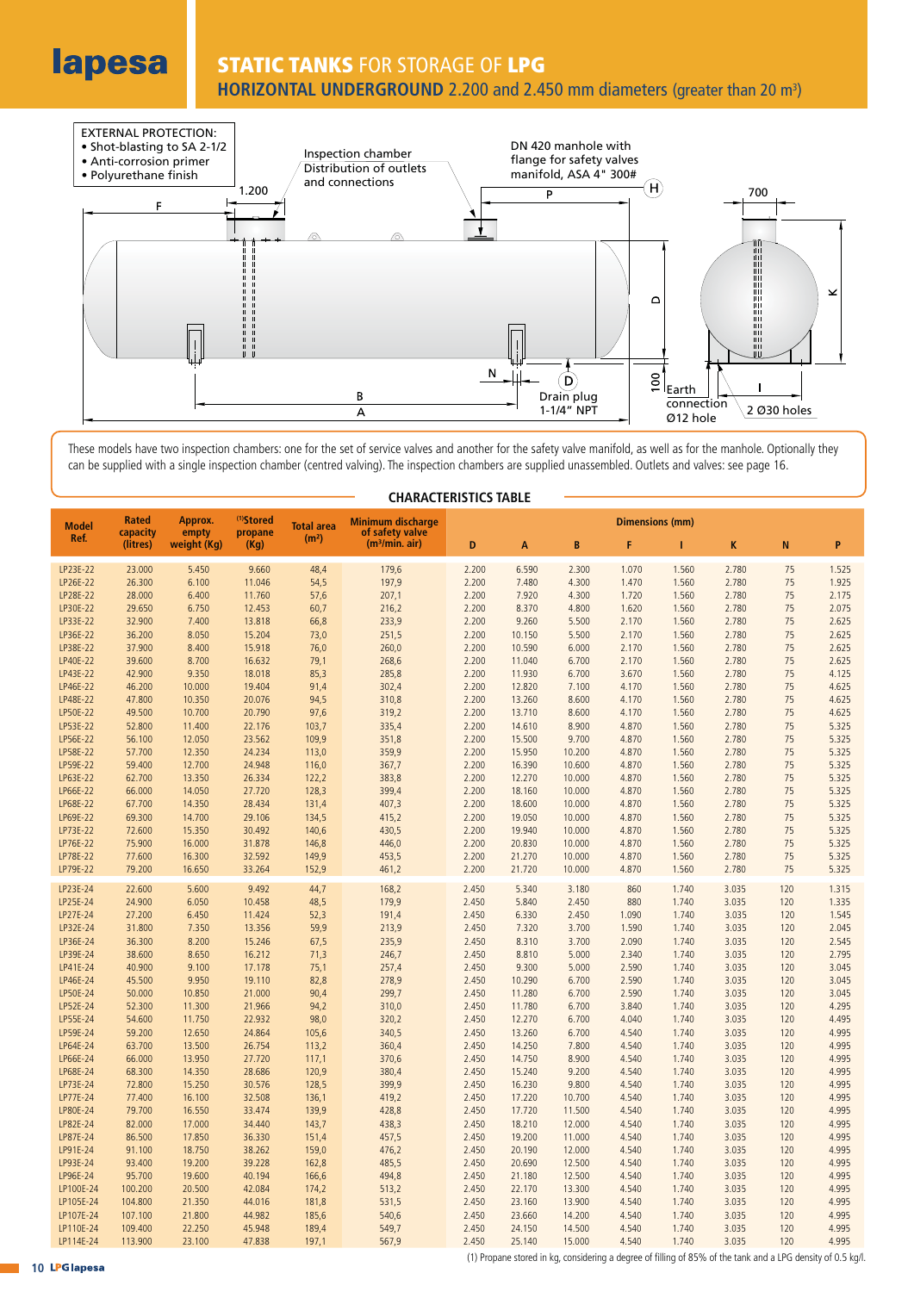lapesa

# **STATIC TANKS** FOR STORAGE OF **LPG** HORIZONTAL UNDERGROUND 2.200 and 2.450 mm diameters (greater than 20 m<sup>3</sup>)



These models have two inspection chambers: one for the set of service valves and another for the safety valve manifold, as well as for the manhole. Optionally they can be supplied with a single inspection chamber (centred valving). The inspection chambers are supplied unassembled. Outlets and valves: see page 16.

| <b>Model</b>         | Rated                | Approx.              | <sup>(1)</sup> Stored | <b>Total area</b> | <b>Minimum discharge</b>                      |                | <b>Dimensions (mm)</b> |                  |                |                |                |            |                |  |
|----------------------|----------------------|----------------------|-----------------------|-------------------|-----------------------------------------------|----------------|------------------------|------------------|----------------|----------------|----------------|------------|----------------|--|
| Ref.                 | capacity<br>(litres) | empty<br>weight (Kg) | propane<br>(Kq)       | (m <sup>2</sup> ) | of safety valve<br>(m <sup>3</sup> /min. air) | D              | A                      | B                | F              | т              | K              | N          | P              |  |
| LP23E-22             | 23.000               | 5.450                | 9.660                 | 48,4              | 179,6                                         | 2.200          | 6.590                  | 2.300            | 1.070          | 1.560          | 2.780          | 75         | 1.525          |  |
| LP26E-22             | 26.300               | 6.100                | 11.046                | 54,5              | 197,9                                         | 2.200          | 7.480                  | 4.300            | 1.470          | 1.560          | 2.780          | 75         | 1.925          |  |
| LP28E-22             | 28,000               | 6.400                | 11.760                | 57,6              | 207,1                                         | 2.200          | 7.920                  | 4.300            | 1.720          | 1.560          | 2.780          | 75         | 2.175          |  |
| LP30E-22             | 29.650               | 6.750                | 12.453                | 60,7              | 216,2                                         | 2.200          | 8.370                  | 4.800            | 1.620          | 1.560          | 2.780          | 75         | 2.075          |  |
| LP33E-22             | 32.900               | 7.400                | 13.818                | 66,8              | 233,9                                         | 2.200          | 9.260                  | 5.500            | 2.170          | 1.560          | 2.780          | 75         | 2.625          |  |
| LP36E-22             | 36.200               | 8.050                | 15.204                | 73,0              | 251,5                                         | 2.200          | 10.150                 | 5.500            | 2.170          | 1.560          | 2.780          | 75         | 2.625          |  |
| LP38E-22             | 37.900               | 8.400                | 15.918                | 76,0              | 260,0                                         | 2.200          | 10.590                 | 6.000            | 2.170          | 1.560          | 2.780          | 75         | 2.625          |  |
| LP40E-22             | 39.600               | 8.700                | 16.632                | 79,1              | 268,6                                         | 2.200          | 11.040                 | 6.700            | 2.170          | 1.560          | 2.780          | 75         | 2.625          |  |
| LP43E-22             | 42.900               | 9.350                | 18.018                | 85,3              | 285,8                                         | 2.200          | 11.930                 | 6.700            | 3.670          | 1.560          | 2.780          | 75         | 4.125          |  |
| LP46E-22             | 46.200               | 10.000               | 19.404                | 91,4              | 302,4                                         | 2.200          | 12.820                 | 7.100            | 4.170          | 1.560          | 2.780          | 75         | 4.625          |  |
| LP48E-22             | 47.800               | 10.350               | 20.076                | 94,5              | 310,8                                         | 2.200          | 13.260                 | 8.600            | 4.170          | 1.560          | 2.780          | 75         | 4.625          |  |
| LP50E-22             | 49.500               | 10.700               | 20.790                | 97,6              | 319,2                                         | 2.200          | 13.710                 | 8.600            | 4.170          | 1.560          | 2.780          | 75         | 4.625          |  |
| LP53E-22             | 52.800               | 11.400               | 22.176                | 103,7             | 335,4                                         | 2.200          | 14.610                 | 8.900            | 4.870          | 1.560          | 2.780          | 75         | 5.325          |  |
| LP56E-22             | 56.100               | 12.050               | 23.562                | 109,9             | 351,8                                         | 2.200          | 15.500                 | 9.700            | 4.870          | 1.560          | 2.780          | 75         | 5.325          |  |
| LP58E-22<br>LP59E-22 | 57.700<br>59.400     | 12.350<br>12.700     | 24.234<br>24.948      | 113,0<br>116,0    | 359,9<br>367,7                                | 2.200<br>2.200 | 15.950<br>16.390       | 10.200<br>10.600 | 4.870<br>4.870 | 1.560<br>1.560 | 2.780<br>2.780 | 75<br>75   | 5.325<br>5.325 |  |
| LP63E-22             | 62.700               | 13.350               | 26.334                | 122,2             | 383,8                                         | 2.200          | 12.270                 | 10.000           | 4.870          | 1.560          | 2.780          | 75         | 5.325          |  |
| LP66E-22             | 66.000               | 14.050               | 27.720                | 128,3             | 399,4                                         | 2.200          | 18.160                 | 10.000           | 4.870          | 1.560          | 2.780          | 75         | 5.325          |  |
| LP68E-22             | 67.700               | 14.350               | 28.434                | 131,4             | 407,3                                         | 2.200          | 18.600                 | 10.000           | 4.870          | 1.560          | 2.780          | 75         | 5.325          |  |
| LP69E-22             | 69.300               | 14.700               | 29.106                | 134,5             | 415,2                                         | 2.200          | 19.050                 | 10.000           | 4.870          | 1.560          | 2.780          | 75         | 5.325          |  |
| LP73E-22             | 72.600               | 15.350               | 30.492                | 140,6             | 430,5                                         | 2.200          | 19.940                 | 10.000           | 4.870          | 1.560          | 2.780          | 75         | 5.325          |  |
| LP76E-22             | 75.900               | 16.000               | 31.878                | 146,8             | 446,0                                         | 2.200          | 20.830                 | 10.000           | 4.870          | 1.560          | 2.780          | 75         | 5.325          |  |
| LP78E-22             | 77.600               | 16.300               | 32.592                | 149,9             | 453,5                                         | 2.200          | 21.270                 | 10.000           | 4.870          | 1.560          | 2.780          | 75         | 5.325          |  |
| LP79E-22             | 79.200               | 16.650               | 33.264                | 152,9             | 461,2                                         | 2.200          | 21.720                 | 10.000           | 4.870          | 1.560          | 2.780          | 75         | 5.325          |  |
| LP23E-24             | 22.600               | 5.600                | 9.492                 | 44,7              | 168,2                                         | 2.450          | 5.340                  | 3.180            | 860            | 1.740          | 3.035          | 120        | 1.315          |  |
| LP25E-24             | 24.900               | 6.050                | 10.458                | 48,5              | 179,9                                         | 2.450          | 5.840                  | 2.450            | 880            | 1.740          | 3.035          | 120        | 1.335          |  |
| LP27E-24             | 27.200               | 6.450                | 11.424                | 52,3              | 191,4                                         | 2.450          | 6.330                  | 2.450            | 1.090          | 1.740          | 3.035          | 120        | 1.545          |  |
| LP32E-24<br>LP36E-24 | 31.800<br>36.300     | 7.350<br>8.200       | 13.356<br>15.246      | 59,9<br>67,5      | 213,9<br>235,9                                | 2.450<br>2.450 | 7.320<br>8.310         | 3.700<br>3.700   | 1.590<br>2.090 | 1.740<br>1.740 | 3.035<br>3.035 | 120<br>120 | 2.045<br>2.545 |  |
| LP39E-24             | 38.600               | 8.650                | 16.212                | 71,3              | 246,7                                         | 2.450          | 8.810                  | 5.000            | 2.340          | 1.740          | 3.035          | 120        | 2.795          |  |
| LP41E-24             | 40.900               | 9.100                | 17.178                | 75,1              | 257,4                                         | 2.450          | 9.300                  | 5.000            | 2.590          | 1.740          | 3.035          | 120        | 3.045          |  |
| LP46E-24             | 45.500               | 9.950                | 19.110                | 82,8              | 278,9                                         | 2.450          | 10.290                 | 6.700            | 2.590          | 1.740          | 3.035          | 120        | 3.045          |  |
| LP50E-24             | 50.000               | 10.850               | 21.000                | 90,4              | 299,7                                         | 2.450          | 11.280                 | 6.700            | 2.590          | 1.740          | 3.035          | 120        | 3.045          |  |
| LP52E-24             | 52,300               | 11.300               | 21.966                | 94,2              | 310,0                                         | 2.450          | 11.780                 | 6.700            | 3.840          | 1.740          | 3.035          | 120        | 4.295          |  |
| LP55E-24             | 54.600               | 11.750               | 22.932                | 98,0              | 320,2                                         | 2.450          | 12.270                 | 6.700            | 4.040          | 1.740          | 3.035          | 120        | 4.495          |  |
| LP59E-24             | 59.200               | 12.650               | 24.864                | 105,6             | 340,5                                         | 2.450          | 13.260                 | 6.700            | 4.540          | 1.740          | 3.035          | 120        | 4.995          |  |
| LP64E-24             | 63.700               | 13.500               | 26.754                | 113,2             | 360,4                                         | 2.450          | 14.250                 | 7.800            | 4.540          | 1.740          | 3.035          | 120        | 4.995          |  |
| LP66E-24             | 66.000               | 13.950               | 27.720                | 117,1             | 370,6                                         | 2.450          | 14.750                 | 8.900            | 4.540          | 1.740          | 3.035          | 120        | 4.995          |  |
| LP68E-24             | 68.300               | 14.350               | 28.686                | 120,9             | 380,4                                         | 2.450          | 15.240                 | 9.200            | 4.540          | 1.740          | 3.035          | 120        | 4.995          |  |
| LP73E-24             | 72.800               | 15.250               | 30.576                | 128,5             | 399,9                                         | 2.450          | 16.230                 | 9.800            | 4.540          | 1.740          | 3.035          | 120        | 4.995          |  |
| LP77E-24<br>LP80E-24 | 77.400<br>79.700     | 16.100<br>16.550     | 32.508<br>33.474      | 136,1             | 419,2                                         | 2.450<br>2.450 | 17.220<br>17.720       | 10.700           | 4.540          | 1.740<br>1.740 | 3.035<br>3.035 | 120<br>120 | 4.995<br>4.995 |  |
| LP82E-24             | 82.000               | 17.000               | 34.440                | 139,9<br>143,7    | 428,8<br>438,3                                | 2.450          | 18.210                 | 11.500<br>12.000 | 4.540<br>4.540 | 1.740          | 3.035          | 120        | 4.995          |  |
| LP87E-24             | 86.500               | 17.850               | 36.330                | 151,4             | 457,5                                         | 2.450          | 19.200                 | 11.000           | 4.540          | 1.740          | 3.035          | 120        | 4.995          |  |
| LP91E-24             | 91.100               | 18.750               | 38.262                | 159,0             | 476,2                                         | 2.450          | 20.190                 | 12.000           | 4.540          | 1.740          | 3.035          | 120        | 4.995          |  |
| LP93E-24             | 93.400               | 19.200               | 39.228                | 162,8             | 485,5                                         | 2.450          | 20.690                 | 12.500           | 4.540          | 1.740          | 3.035          | 120        | 4.995          |  |
| LP96E-24             | 95.700               | 19.600               | 40.194                | 166,6             | 494,8                                         | 2.450          | 21.180                 | 12.500           | 4.540          | 1.740          | 3.035          | 120        | 4.995          |  |
| LP100E-24            | 100.200              | 20.500               | 42.084                | 174,2             | 513,2                                         | 2.450          | 22.170                 | 13.300           | 4.540          | 1.740          | 3.035          | 120        | 4.995          |  |
| LP105E-24            | 104.800              | 21.350               | 44.016                | 181,8             | 531,5                                         | 2.450          | 23,160                 | 13.900           | 4.540          | 1.740          | 3.035          | 120        | 4.995          |  |
| LP107E-24            | 107.100              | 21.800               | 44.982                | 185,6             | 540,6                                         | 2.450          | 23.660                 | 14.200           | 4.540          | 1.740          | 3.035          | 120        | 4.995          |  |
| LP110E-24            | 109.400              | 22.250               | 45.948                | 189,4             | 549,7                                         | 2.450          | 24.150                 | 14.500           | 4.540          | 1.740          | 3.035          | 120        | 4.995          |  |
| LP114E-24            | 113.900              | 23.100               | 47.838                | 197,1             | 567,9                                         | 2.450          | 25.140                 | 15.000           | 4.540          | 1.740          | 3.035          | 120        | 4.995          |  |

# **CHARACTERISTICS TABLE**

(1) Propane stored in kg, considering a degree of filling of 85% of the tank and a LPG density of 0.5 kg/l.